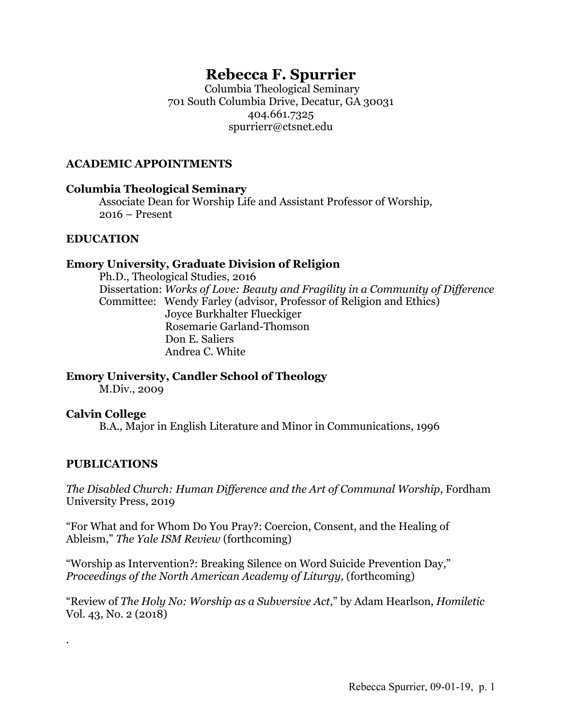# **Rebecca F. Spurrier**

Columbia Theological Seminary 701 South Columbia Drive, Decatur, GA 30031 404.661.7325 spurrierr@ctsnet.edu

#### **ACADEMIC APPOINTMENTS**

#### **Columbia Theological Seminary**

Associate Dean for Worship Life and Assistant Professor of Worship, 2016 – Present

## **EDUCATION**

## **Emory University, Graduate Division of Religion**

Ph.D., Theological Studies, 2016 Dissertation: *Works of Love: Beauty and Fragility in a Community of Difference* Committee: Wendy Farley (advisor, Professor of Religion and Ethics) Joyce Burkhalter Flueckiger Rosemarie Garland-Thomson Don E. Saliers Andrea C. White

**Emory University, Candler School of Theology**

M.Div., 2009

## **Calvin College**

B.A., Major in English Literature and Minor in Communications, 1996

## **PUBLICATIONS**

.

*The Disabled Church: Human Difference and the Art of Communal Worship*, Fordham University Press, 2019

"For What and for Whom Do You Pray?: Coercion, Consent, and the Healing of Ableism," *The Yale ISM Review* (forthcoming)

"Worship as Intervention?: Breaking Silence on Word Suicide Prevention Day," *Proceedings of the North American Academy of Liturgy,* (forthcoming)

"Review of *The Holy No: Worship as a Subversive Act*," by Adam Hearlson, *Homiletic*  Vol. 43, No. 2 (2018)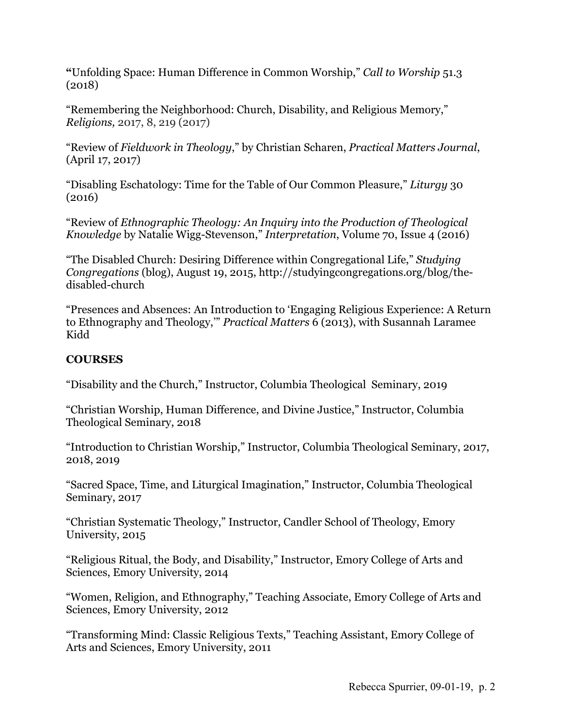**"**Unfolding Space: Human Difference in Common Worship," *Call to Worship* 51.3 (2018)

"Remembering the Neighborhood: Church, Disability, and Religious Memory," *Religions,* 2017, 8, 219 (2017)

"Review of *Fieldwork in Theology*," by Christian Scharen, *Practical Matters Journal*, (April 17, 2017)

"Disabling Eschatology: Time for the Table of Our Common Pleasure," *Liturgy* 30 (2016)

"Review of *Ethnographic Theology: An Inquiry into the Production of Theological Knowledge* by Natalie Wigg-Stevenson," *Interpretation*, Volume 70, Issue 4 (2016)

"The Disabled Church: Desiring Difference within Congregational Life," *Studying Congregations* (blog), August 19, 2015, http://studyingcongregations.org/blog/thedisabled-church

"Presences and Absences: An Introduction to 'Engaging Religious Experience: A Return to Ethnography and Theology,'" *Practical Matters* 6 (2013), with Susannah Laramee Kidd

## **COURSES**

"Disability and the Church," Instructor, Columbia Theological Seminary, 2019

"Christian Worship, Human Difference, and Divine Justice," Instructor, Columbia Theological Seminary, 2018

"Introduction to Christian Worship," Instructor, Columbia Theological Seminary, 2017, 2018, 2019

"Sacred Space, Time, and Liturgical Imagination," Instructor, Columbia Theological Seminary, 2017

"Christian Systematic Theology," Instructor, Candler School of Theology, Emory University, 2015

"Religious Ritual, the Body, and Disability," Instructor, Emory College of Arts and Sciences, Emory University, 2014

"Women, Religion, and Ethnography," Teaching Associate, Emory College of Arts and Sciences, Emory University, 2012

"Transforming Mind: Classic Religious Texts," Teaching Assistant, Emory College of Arts and Sciences, Emory University, 2011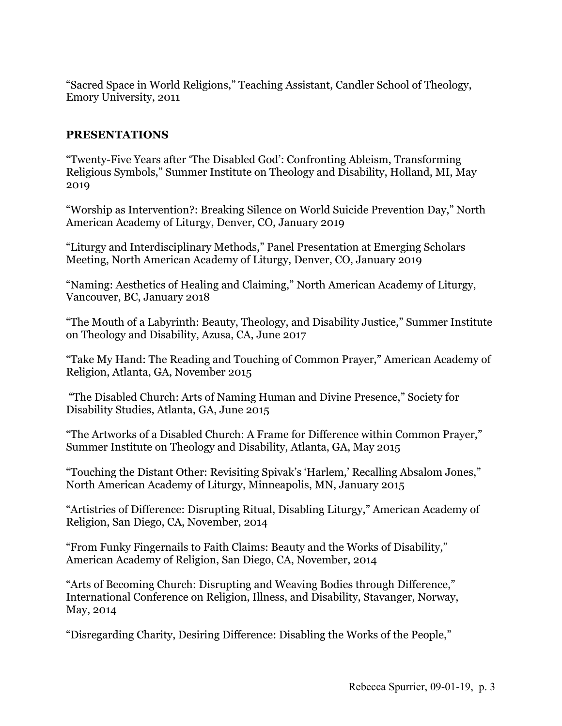"Sacred Space in World Religions," Teaching Assistant, Candler School of Theology, Emory University, 2011

#### **PRESENTATIONS**

"Twenty-Five Years after 'The Disabled God': Confronting Ableism, Transforming Religious Symbols," Summer Institute on Theology and Disability, Holland, MI, May 2019

"Worship as Intervention?: Breaking Silence on World Suicide Prevention Day," North American Academy of Liturgy, Denver, CO, January 2019

"Liturgy and Interdisciplinary Methods," Panel Presentation at Emerging Scholars Meeting, North American Academy of Liturgy, Denver, CO, January 2019

"Naming: Aesthetics of Healing and Claiming," North American Academy of Liturgy, Vancouver, BC, January 2018

"The Mouth of a Labyrinth: Beauty, Theology, and Disability Justice," Summer Institute on Theology and Disability, Azusa, CA, June 2017

"Take My Hand: The Reading and Touching of Common Prayer," American Academy of Religion, Atlanta, GA, November 2015

"The Disabled Church: Arts of Naming Human and Divine Presence," Society for Disability Studies, Atlanta, GA, June 2015

"The Artworks of a Disabled Church: A Frame for Difference within Common Prayer," Summer Institute on Theology and Disability, Atlanta, GA, May 2015

"Touching the Distant Other: Revisiting Spivak's 'Harlem,' Recalling Absalom Jones," North American Academy of Liturgy, Minneapolis, MN, January 2015

"Artistries of Difference: Disrupting Ritual, Disabling Liturgy," American Academy of Religion, San Diego, CA, November, 2014

"From Funky Fingernails to Faith Claims: Beauty and the Works of Disability," American Academy of Religion, San Diego, CA, November, 2014

"Arts of Becoming Church: Disrupting and Weaving Bodies through Difference," International Conference on Religion, Illness, and Disability, Stavanger, Norway, May, 2014

"Disregarding Charity, Desiring Difference: Disabling the Works of the People,"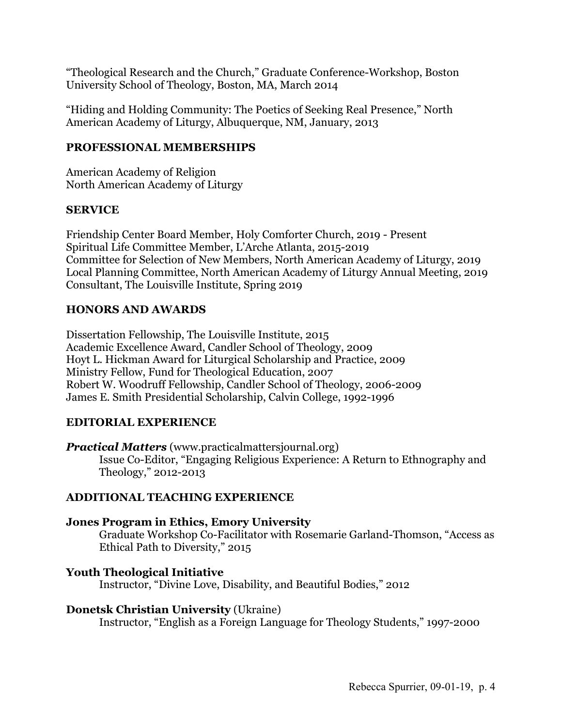"Theological Research and the Church," Graduate Conference-Workshop, Boston University School of Theology, Boston, MA, March 2014

"Hiding and Holding Community: The Poetics of Seeking Real Presence," North American Academy of Liturgy, Albuquerque, NM, January, 2013

## **PROFESSIONAL MEMBERSHIPS**

American Academy of Religion North American Academy of Liturgy

#### **SERVICE**

Friendship Center Board Member, Holy Comforter Church, 2019 - Present Spiritual Life Committee Member, L'Arche Atlanta, 2015-2019 Committee for Selection of New Members, North American Academy of Liturgy, 2019 Local Planning Committee, North American Academy of Liturgy Annual Meeting, 2019 Consultant, The Louisville Institute, Spring 2019

## **HONORS AND AWARDS**

Dissertation Fellowship, The Louisville Institute, 2015 Academic Excellence Award, Candler School of Theology, 2009 Hoyt L. Hickman Award for Liturgical Scholarship and Practice, 2009 Ministry Fellow, Fund for Theological Education, 2007 Robert W. Woodruff Fellowship, Candler School of Theology, 2006-2009 James E. Smith Presidential Scholarship, Calvin College, 1992-1996

## **EDITORIAL EXPERIENCE**

*Practical Matters* (www.practicalmattersjournal.org)

Issue Co-Editor, "Engaging Religious Experience: A Return to Ethnography and Theology," 2012-2013

## **ADDITIONAL TEACHING EXPERIENCE**

**Jones Program in Ethics, Emory University** Graduate Workshop Co-Facilitator with Rosemarie Garland-Thomson, "Access as Ethical Path to Diversity," 2015

**Youth Theological Initiative** Instructor, "Divine Love, Disability, and Beautiful Bodies," 2012

#### **Donetsk Christian University** (Ukraine)

Instructor, "English as a Foreign Language for Theology Students," 1997-2000